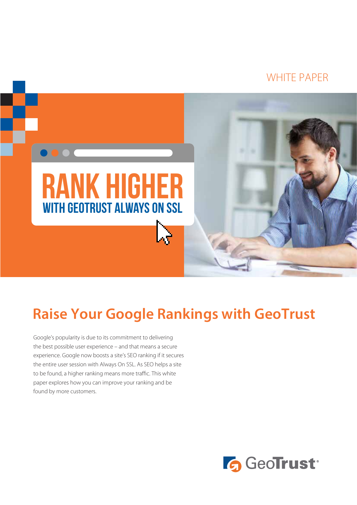### WHITE PAPER



## **Raise Your Google Rankings with GeoTrust**

Google's popularity is due to its commitment to delivering the best possible user experience – and that means a secure experience. Google now boosts a site's SEO ranking if it secures the entire user session with Always On SSL. As SEO helps a site to be found, a higher ranking means more traffic. This white paper explores how you can improve your ranking and be found by more customers.

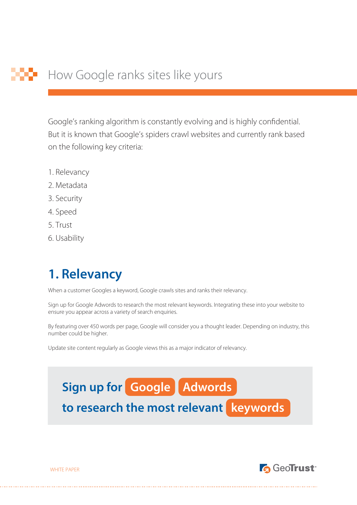Google's ranking algorithm is constantly evolving and is highly confidential. But it is known that Google's spiders crawl websites and currently rank based on the following key criteria:

- 1. Relevancy
- 2. Metadata
- 3. Security
- 4. Speed
- 5. Trust
- 6. Usability

### **1. Relevancy**

When a customer Googles a keyword, Google crawls sites and ranks their relevancy.

Sign up for Google Adwords to research the most relevant keywords. Integrating these into your website to ensure you appear across a variety of search enquiries.

By featuring over 450 words per page, Google will consider you a thought leader. Depending on industry, this number could be higher.

Update site content regularly as Google views this as a major indicator of relevancy.





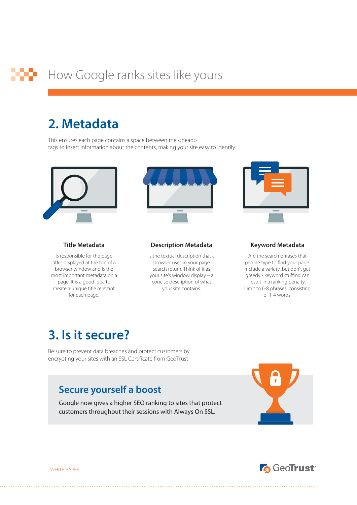### **2. Metadata**

This ensures each page contains a space between the <head> tags to insert information about the contents, making your site easy to identify.



#### **Title Metadata**

Is responsible for the page titles displayed at the top of a browser window and is the most important metadata on a page. It is a good idea to create a unique title relevant for each page.



#### **Description Metadata**

Is the textual description that a browser uses in your page search return. Think of it as your site's window display – a concise description of what your site contains.



#### **Keyword Metadata**

Are the search phrases that people type to find your page. Include a variety, but don't get greedy - keyword stuffing can result in a ranking penalty. Limit to 6-8 phrases, consisting of 1-4 words.

### **3. Is it secure?**

Be sure to prevent data breaches and protect customers by encrypting your sites with an SSL Certificate from GeoTrust

### **Secure yourself a boost**

Google now gives a higher SEO ranking to sites that protect customers throughout their sessions with Always On SSL.





WHITE PAPER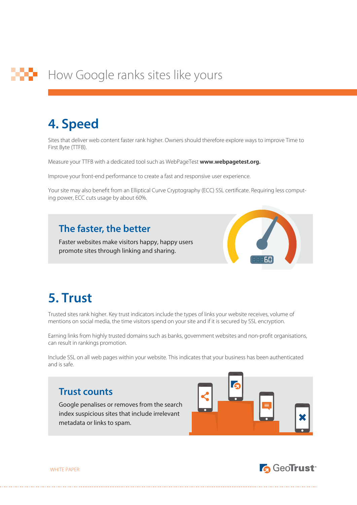## **4. Speed**

Sites that deliver web content faster rank higher. Owners should therefore explore ways to improve Time to First Byte (TTFB).

Measure your TTFB with a dedicated tool such as WebPageTest **www.webpagetest.org.**

Improve your front-end performance to create a fast and responsive user experience.

Your site may also benefit from an Elliptical Curve Cryptography (ECC) SSL certificate. Requiring less computing power, ECC cuts usage by about 60%.

### **The faster, the better**

Faster websites make visitors happy, happy users promote sites through linking and sharing.



### **5. Trust**

Trusted sites rank higher. Key trust indicators include the types of links your website receives, volume of mentions on social media, the time visitors spend on your site and if it is secured by SSL encryption.

Earning links from highly trusted domains such as banks, government websites and non-profit organisations, can result in rankings promotion.

Include SSL on all web pages within your website. This indicates that your business has been authenticated and is safe.

### **Trust counts**

Google penalises or removes from the search index suspicious sites that include irrelevant metadata or links to spam.





WHITE PAPER